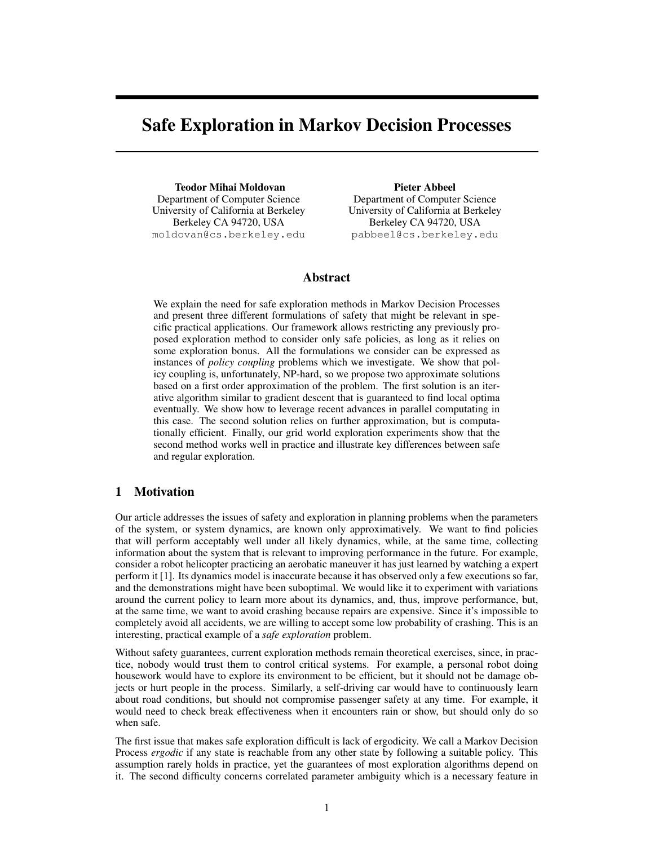# Safe Exploration in Markov Decision Processes

Teodor Mihai Moldovan Department of Computer Science University of California at Berkeley Berkeley CA 94720, USA moldovan@cs.berkeley.edu

Pieter Abbeel Department of Computer Science University of California at Berkeley Berkeley CA 94720, USA pabbeel@cs.berkeley.edu

## Abstract

We explain the need for safe exploration methods in Markov Decision Processes and present three different formulations of safety that might be relevant in specific practical applications. Our framework allows restricting any previously proposed exploration method to consider only safe policies, as long as it relies on some exploration bonus. All the formulations we consider can be expressed as instances of *policy coupling* problems which we investigate. We show that policy coupling is, unfortunately, NP-hard, so we propose two approximate solutions based on a first order approximation of the problem. The first solution is an iterative algorithm similar to gradient descent that is guaranteed to find local optima eventually. We show how to leverage recent advances in parallel computating in this case. The second solution relies on further approximation, but is computationally efficient. Finally, our grid world exploration experiments show that the second method works well in practice and illustrate key differences between safe and regular exploration.

# 1 Motivation

Our article addresses the issues of safety and exploration in planning problems when the parameters of the system, or system dynamics, are known only approximatively. We want to find policies that will perform acceptably well under all likely dynamics, while, at the same time, collecting information about the system that is relevant to improving performance in the future. For example, consider a robot helicopter practicing an aerobatic maneuver it has just learned by watching a expert perform it [1]. Its dynamics model is inaccurate because it has observed only a few executions so far, and the demonstrations might have been suboptimal. We would like it to experiment with variations around the current policy to learn more about its dynamics, and, thus, improve performance, but, at the same time, we want to avoid crashing because repairs are expensive. Since it's impossible to completely avoid all accidents, we are willing to accept some low probability of crashing. This is an interesting, practical example of a *safe exploration* problem.

Without safety guarantees, current exploration methods remain theoretical exercises, since, in practice, nobody would trust them to control critical systems. For example, a personal robot doing housework would have to explore its environment to be efficient, but it should not be damage objects or hurt people in the process. Similarly, a self-driving car would have to continuously learn about road conditions, but should not compromise passenger safety at any time. For example, it would need to check break effectiveness when it encounters rain or show, but should only do so when safe.

The first issue that makes safe exploration difficult is lack of ergodicity. We call a Markov Decision Process *ergodic* if any state is reachable from any other state by following a suitable policy. This assumption rarely holds in practice, yet the guarantees of most exploration algorithms depend on it. The second difficulty concerns correlated parameter ambiguity which is a necessary feature in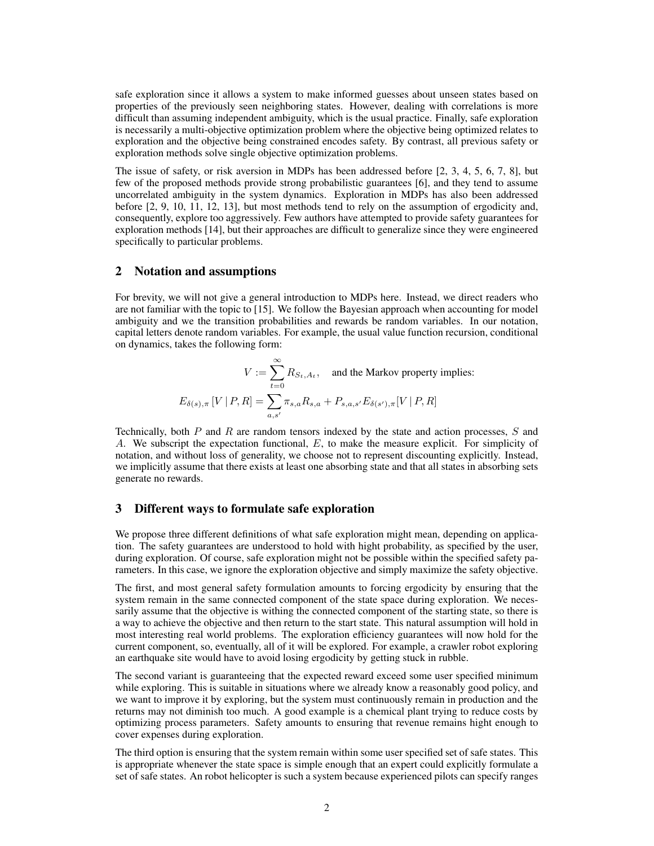safe exploration since it allows a system to make informed guesses about unseen states based on properties of the previously seen neighboring states. However, dealing with correlations is more difficult than assuming independent ambiguity, which is the usual practice. Finally, safe exploration is necessarily a multi-objective optimization problem where the objective being optimized relates to exploration and the objective being constrained encodes safety. By contrast, all previous safety or exploration methods solve single objective optimization problems.

The issue of safety, or risk aversion in MDPs has been addressed before [2, 3, 4, 5, 6, 7, 8], but few of the proposed methods provide strong probabilistic guarantees [6], and they tend to assume uncorrelated ambiguity in the system dynamics. Exploration in MDPs has also been addressed before [2, 9, 10, 11, 12, 13], but most methods tend to rely on the assumption of ergodicity and, consequently, explore too aggressively. Few authors have attempted to provide safety guarantees for exploration methods [14], but their approaches are difficult to generalize since they were engineered specifically to particular problems.

#### 2 Notation and assumptions

For brevity, we will not give a general introduction to MDPs here. Instead, we direct readers who are not familiar with the topic to [15]. We follow the Bayesian approach when accounting for model ambiguity and we the transition probabilities and rewards be random variables. In our notation, capital letters denote random variables. For example, the usual value function recursion, conditional on dynamics, takes the following form:

$$
V := \sum_{t=0}^{\infty} R_{S_t, A_t}, \text{ and the Markov property implies:}
$$

$$
E_{\delta(s), \pi}[V | P, R] = \sum_{a, s'} \pi_{s, a} R_{s, a} + P_{s, a, s'} E_{\delta(s'), \pi}[V | P, R]
$$

Technically, both *P* and *R* are random tensors indexed by the state and action processes, *S* and *A*. We subscript the expectation functional, *E*, to make the measure explicit. For simplicity of notation, and without loss of generality, we choose not to represent discounting explicitly. Instead, we implicitly assume that there exists at least one absorbing state and that all states in absorbing sets generate no rewards.

### 3 Different ways to formulate safe exploration

We propose three different definitions of what safe exploration might mean, depending on application. The safety guarantees are understood to hold with hight probability, as specified by the user, during exploration. Of course, safe exploration might not be possible within the specified safety parameters. In this case, we ignore the exploration objective and simply maximize the safety objective.

The first, and most general safety formulation amounts to forcing ergodicity by ensuring that the system remain in the same connected component of the state space during exploration. We necessarily assume that the objective is withing the connected component of the starting state, so there is a way to achieve the objective and then return to the start state. This natural assumption will hold in most interesting real world problems. The exploration efficiency guarantees will now hold for the current component, so, eventually, all of it will be explored. For example, a crawler robot exploring an earthquake site would have to avoid losing ergodicity by getting stuck in rubble.

The second variant is guaranteeing that the expected reward exceed some user specified minimum while exploring. This is suitable in situations where we already know a reasonably good policy, and we want to improve it by exploring, but the system must continuously remain in production and the returns may not diminish too much. A good example is a chemical plant trying to reduce costs by optimizing process parameters. Safety amounts to ensuring that revenue remains hight enough to cover expenses during exploration.

The third option is ensuring that the system remain within some user specified set of safe states. This is appropriate whenever the state space is simple enough that an expert could explicitly formulate a set of safe states. An robot helicopter is such a system because experienced pilots can specify ranges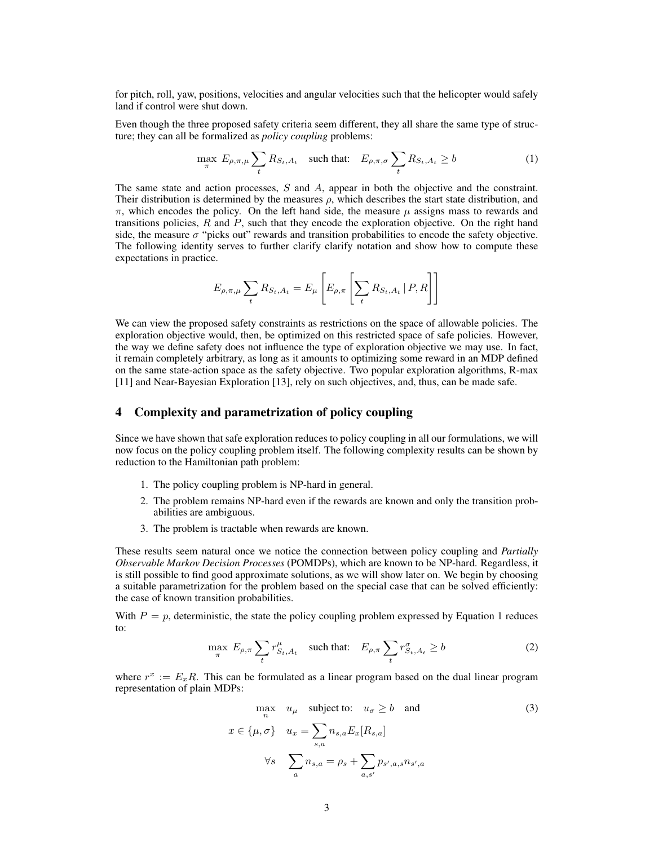for pitch, roll, yaw, positions, velocities and angular velocities such that the helicopter would safely land if control were shut down.

Even though the three proposed safety criteria seem different, they all share the same type of structure; they can all be formalized as *policy coupling* problems:

$$
\max_{\pi} E_{\rho,\pi,\mu} \sum_{t} R_{S_t,A_t} \quad \text{such that:} \quad E_{\rho,\pi,\sigma} \sum_{t} R_{S_t,A_t} \ge b \tag{1}
$$

The same state and action processes, *S* and *A*, appear in both the objective and the constraint. Their distribution is determined by the measures *ρ*, which describes the start state distribution, and  $\pi$ , which encodes the policy. On the left hand side, the measure  $\mu$  assigns mass to rewards and transitions policies, *R* and *P*, such that they encode the exploration objective. On the right hand side, the measure  $\sigma$  "picks out" rewards and transition probabilities to encode the safety objective. The following identity serves to further clarify clarify notation and show how to compute these expectations in practice.

$$
E_{\rho,\pi,\mu} \sum_{t} R_{S_t,A_t} = E_{\mu} \left[ E_{\rho,\pi} \left[ \sum_{t} R_{S_t,A_t} \, | \, P, R \right] \right]
$$

We can view the proposed safety constraints as restrictions on the space of allowable policies. The exploration objective would, then, be optimized on this restricted space of safe policies. However, the way we define safety does not influence the type of exploration objective we may use. In fact, it remain completely arbitrary, as long as it amounts to optimizing some reward in an MDP defined on the same state-action space as the safety objective. Two popular exploration algorithms, R-max [11] and Near-Bayesian Exploration [13], rely on such objectives, and, thus, can be made safe.

## 4 Complexity and parametrization of policy coupling

Since we have shown that safe exploration reduces to policy coupling in all our formulations, we will now focus on the policy coupling problem itself. The following complexity results can be shown by reduction to the Hamiltonian path problem:

- 1. The policy coupling problem is NP-hard in general.
- 2. The problem remains NP-hard even if the rewards are known and only the transition probabilities are ambiguous.
- 3. The problem is tractable when rewards are known.

These results seem natural once we notice the connection between policy coupling and *Partially Observable Markov Decision Processes* (POMDPs), which are known to be NP-hard. Regardless, it is still possible to find good approximate solutions, as we will show later on. We begin by choosing a suitable parametrization for the problem based on the special case that can be solved efficiently: the case of known transition probabilities.

With  $P = p$ , deterministic, the state the policy coupling problem expressed by Equation 1 reduces to:

$$
\max_{\pi} E_{\rho,\pi} \sum_{t} r^{\mu}_{S_t,A_t} \quad \text{such that:} \quad E_{\rho,\pi} \sum_{t} r^{\sigma}_{S_t,A_t} \ge b \tag{2}
$$

where  $r^x := E_x R$ . This can be formulated as a linear program based on the dual linear program representation of plain MDPs:

$$
\max_{n} \quad u_{\mu} \quad \text{subject to:} \quad u_{\sigma} \ge b \quad \text{and}
$$
\n
$$
x \in \{\mu, \sigma\} \quad u_{x} = \sum_{s,a} n_{s,a} E_{x}[R_{s,a}]
$$
\n
$$
\forall s \quad \sum_{a} n_{s,a} = \rho_s + \sum_{a,s'} p_{s',a,s} n_{s',a}
$$
\n(3)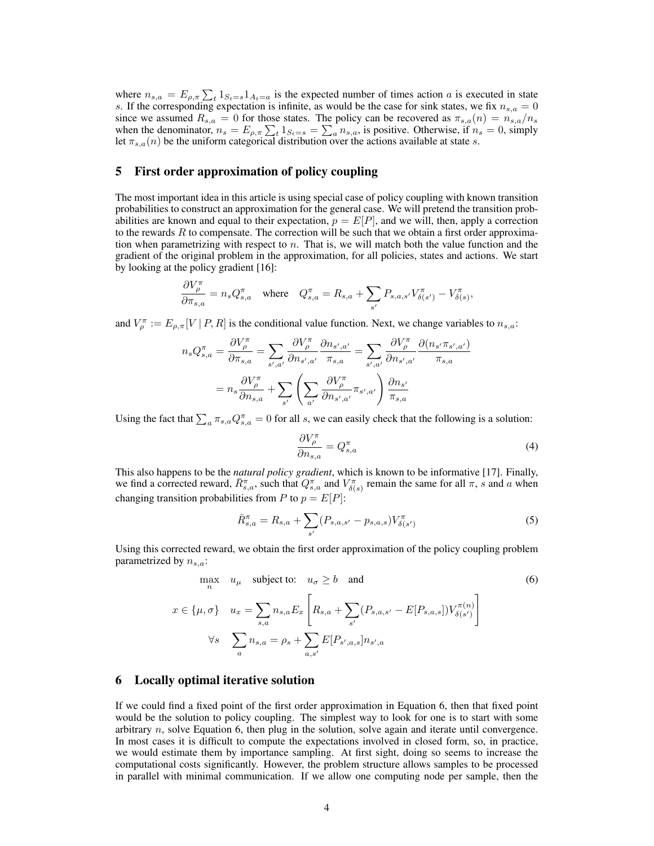where  $n_{s,a} = E_{\rho,\pi} \sum_{t} 1_{S_t=s} 1_{A_t=a}$  is the expected number of times action *a* is executed in state *s*. If the corresponding expectation is infinite, as would be the case for sink states, we fix  $n_{s,a} = 0$ since we assumed  $R_{s,a} = 0$  for those states. The policy can be recovered as  $\pi_{s,a}(n) = n_{s,a}/n_s$ when the denominator,  $n_s = E_{\rho,\pi} \sum_{t} 1_{S_t=s} = \sum_{a} n_{s,a}$ , is positive. Otherwise, if  $n_s = 0$ , simply let  $\pi_{s,a}(n)$  be the uniform categorical distribution over the actions available at state *s*.

### 5 First order approximation of policy coupling

The most important idea in this article is using special case of policy coupling with known transition probabilities to construct an approximation for the general case. We will pretend the transition probabilities are known and equal to their expectation,  $p = E[P]$ , and we will, then, apply a correction to the rewards  $R$  to compensate. The correction will be such that we obtain a first order approximation when parametrizing with respect to *n*. That is, we will match both the value function and the gradient of the original problem in the approximation, for all policies, states and actions. We start by looking at the policy gradient [16]:

$$
\frac{\partial V_\rho^\pi}{\partial \pi_{s,a}} = n_s Q_{s,a}^\pi \quad \text{where} \quad Q_{s,a}^\pi = R_{s,a} + \sum_{s'} P_{s,a,s'} V_{\delta(s')}^\pi - V_{\delta(s)}^\pi,
$$

and  $V_{\rho}^{\pi} := E_{\rho,\pi}[V | P, R]$  is the conditional value function. Next, we change variables to  $n_{s,a}$ :

$$
n_s Q_{s,a}^{\pi} = \frac{\partial V_{\rho}^{\pi}}{\partial \pi_{s,a}} = \sum_{s',a'} \frac{\partial V_{\rho}^{\pi}}{\partial n_{s',a'}} \frac{\partial n_{s',a'}}{\partial n_{s',a'}} = \sum_{s',a'} \frac{\partial V_{\rho}^{\pi}}{\partial n_{s',a'}} \frac{\partial (n_{s'} \pi_{s',a'})}{\pi_{s,a}}
$$

$$
= n_s \frac{\partial V_{\rho}^{\pi}}{\partial n_{s,a}} + \sum_{s'} \left( \sum_{a'} \frac{\partial V_{\rho}^{\pi}}{\partial n_{s',a'}} \pi_{s',a'} \right) \frac{\partial n_{s'}}{\pi_{s,a}}
$$

Using the fact that  $\sum_a \pi_{s,a} Q_{s,a}^{\pi} = 0$  for all *s*, we can easily check that the following is a solution:

$$
\frac{\partial V_{\rho}^{\pi}}{\partial n_{s,a}} = Q_{s,a}^{\pi} \tag{4}
$$

This also happens to be the *natural policy gradient*, which is known to be informative [17]. Finally, we find a corrected reward,  $\overline{R}_{s,a}^{\pi}$ , such that  $Q_{s,a}^{\pi}$  and  $V_{\delta(s)}^{\pi}$  remain the same for all  $\pi$ , *s* and *a* when changing transition probabilities from *P* to  $p = E[P]$ :

$$
\bar{R}_{s,a}^{\pi} = R_{s,a} + \sum_{s'} (P_{s,a,s'} - p_{s,a,s}) V_{\delta(s')}^{\pi}
$$
 (5)

Using this corrected reward, we obtain the first order approximation of the policy coupling problem parametrized by *ns,a*:

$$
\max_{n} \quad u_{\mu} \quad \text{subject to:} \quad u_{\sigma} \ge b \quad \text{and}
$$
\n
$$
x \in \{\mu, \sigma\} \quad u_{x} = \sum_{s,a} n_{s,a} E_{x} \left[ R_{s,a} + \sum_{s'} (P_{s,a,s'} - E[P_{s,a,s}]) V_{\delta(s')}^{\pi(n)} \right]
$$
\n
$$
\forall s \quad \sum_{a} n_{s,a} = \rho_s + \sum_{a,s'} E[P_{s',a,s}] n_{s',a}
$$
\n(6)

#### 6 Locally optimal iterative solution

If we could find a fixed point of the first order approximation in Equation 6, then that fixed point would be the solution to policy coupling. The simplest way to look for one is to start with some arbitrary *n*, solve Equation 6, then plug in the solution, solve again and iterate until convergence. In most cases it is difficult to compute the expectations involved in closed form, so, in practice, we would estimate them by importance sampling. At first sight, doing so seems to increase the computational costs significantly. However, the problem structure allows samples to be processed in parallel with minimal communication. If we allow one computing node per sample, then the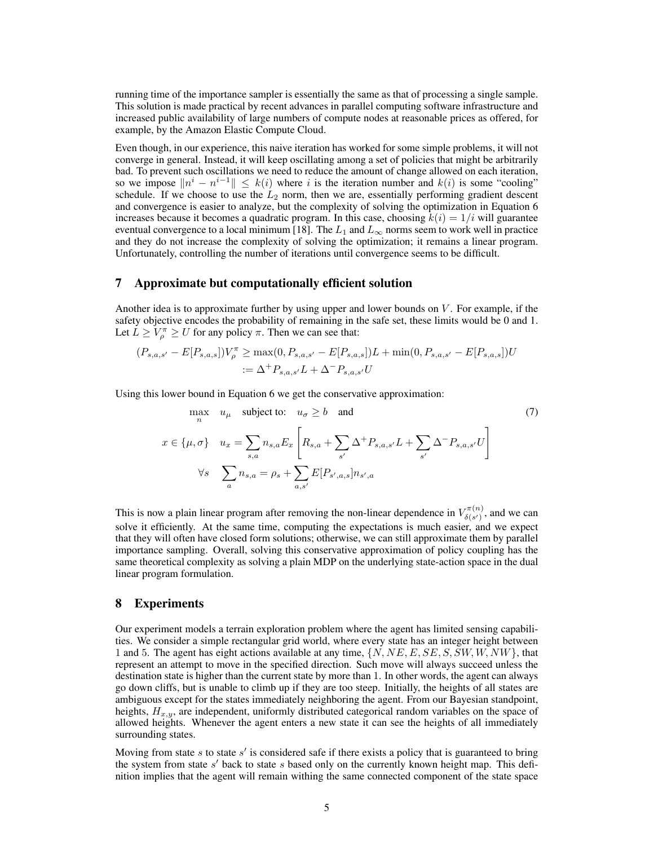running time of the importance sampler is essentially the same as that of processing a single sample. This solution is made practical by recent advances in parallel computing software infrastructure and increased public availability of large numbers of compute nodes at reasonable prices as offered, for example, by the Amazon Elastic Compute Cloud.

Even though, in our experience, this naive iteration has worked for some simple problems, it will not converge in general. Instead, it will keep oscillating among a set of policies that might be arbitrarily bad. To prevent such oscillations we need to reduce the amount of change allowed on each iteration, so we impose  $\|n^i - n^{i-1}\| \leq k(i)$  where *i* is the iteration number and  $k(i)$  is some "cooling" schedule. If we choose to use the  $L_2$  norm, then we are, essentially performing gradient descent and convergence is easier to analyze, but the complexity of solving the optimization in Equation 6 increases because it becomes a quadratic program. In this case, choosing  $k(i) = 1/i$  will guarantee eventual convergence to a local minimum [18]. The  $L_1$  and  $L_\infty$  norms seem to work well in practice and they do not increase the complexity of solving the optimization; it remains a linear program. Unfortunately, controlling the number of iterations until convergence seems to be difficult.

#### 7 Approximate but computationally efficient solution

Another idea is to approximate further by using upper and lower bounds on *V* . For example, if the safety objective encodes the probability of remaining in the safe set, these limits would be 0 and 1. Let  $\overline{L} \ge V_{\rho}^{\pi} \ge U$  for any policy  $\pi$ . Then we can see that:

$$
(P_{s,a,s'} - E[P_{s,a,s}])V_{\rho}^{\pi} \ge \max(0, P_{s,a,s'} - E[P_{s,a,s}])L + \min(0, P_{s,a,s'} - E[P_{s,a,s}])U
$$
  
 :=  $\Delta^+ P_{s,a,s'}L + \Delta^- P_{s,a,s'}U$ 

Using this lower bound in Equation 6 we get the conservative approximation:

$$
\max_{n} \quad u_{\mu} \quad \text{subject to:} \quad u_{\sigma} \ge b \quad \text{and}
$$
\n
$$
x \in \{\mu, \sigma\} \quad u_{x} = \sum_{s,a} n_{s,a} E_{x} \left[ R_{s,a} + \sum_{s'} \Delta^{+} P_{s,a,s'} L + \sum_{s'} \Delta^{-} P_{s,a,s'} U \right]
$$
\n
$$
\forall s \quad \sum_{a} n_{s,a} = \rho_{s} + \sum_{a,s'} E[P_{s',a,s}] n_{s',a}
$$
\n(7)

This is now a plain linear program after removing the non-linear dependence in  $V_{\delta(s')}^{\pi(n)}$  $\delta(s')$ , and we can solve it efficiently. At the same time, computing the expectations is much easier, and we expect that they will often have closed form solutions; otherwise, we can still approximate them by parallel importance sampling. Overall, solving this conservative approximation of policy coupling has the same theoretical complexity as solving a plain MDP on the underlying state-action space in the dual linear program formulation.

#### 8 Experiments

Our experiment models a terrain exploration problem where the agent has limited sensing capabilities. We consider a simple rectangular grid world, where every state has an integer height between 1 and 5. The agent has eight actions available at any time, *{N, NE, E, SE, S, SW, W, NW}*, that represent an attempt to move in the specified direction. Such move will always succeed unless the destination state is higher than the current state by more than 1. In other words, the agent can always go down cliffs, but is unable to climb up if they are too steep. Initially, the heights of all states are ambiguous except for the states immediately neighboring the agent. From our Bayesian standpoint, heights, *Hx,y*, are independent, uniformly distributed categorical random variables on the space of allowed heights. Whenever the agent enters a new state it can see the heights of all immediately surrounding states.

Moving from state  $s$  to state  $s'$  is considered safe if there exists a policy that is guaranteed to bring the system from state *s'* back to state *s* based only on the currently known height map. This definition implies that the agent will remain withing the same connected component of the state space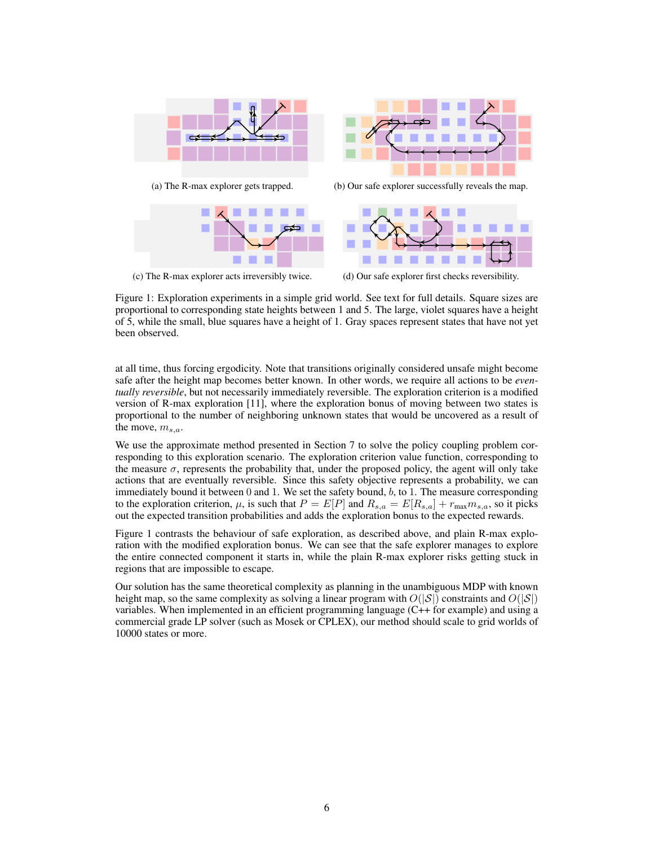

(c) The R-max explorer acts irreversibly twice.

(d) Our safe explorer first checks reversibility.

Figure 1: Exploration experiments in a simple grid world. See text for full details. Square sizes are proportional to corresponding state heights between 1 and 5. The large, violet squares have a height of 5, while the small, blue squares have a height of 1. Gray spaces represent states that have not yet been observed.

at all time, thus forcing ergodicity. Note that transitions originally considered unsafe might become safe after the height map becomes better known. In other words, we require all actions to be *eventually reversible*, but not necessarily immediately reversible. The exploration criterion is a modified version of R-max exploration [11], where the exploration bonus of moving between two states is proportional to the number of neighboring unknown states that would be uncovered as a result of the move, *ms,a*.

We use the approximate method presented in Section 7 to solve the policy coupling problem corresponding to this exploration scenario. The exploration criterion value function, corresponding to the measure  $\sigma$ , represents the probability that, under the proposed policy, the agent will only take actions that are eventually reversible. Since this safety objective represents a probability, we can immediately bound it between 0 and 1. We set the safety bound, *b*, to 1. The measure corresponding to the exploration criterion,  $\mu$ , is such that  $P = E[P]$  and  $R_{s,a} = E[R_{s,a}] + r_{\text{max}}m_{s,a}$ , so it picks out the expected transition probabilities and adds the exploration bonus to the expected rewards.

Figure 1 contrasts the behaviour of safe exploration, as described above, and plain R-max exploration with the modified exploration bonus. We can see that the safe explorer manages to explore the entire connected component it starts in, while the plain R-max explorer risks getting stuck in regions that are impossible to escape.

Our solution has the same theoretical complexity as planning in the unambiguous MDP with known height map, so the same complexity as solving a linear program with  $O(|S|)$  constraints and  $O(|S|)$ variables. When implemented in an efficient programming language (C++ for example) and using a commercial grade LP solver (such as Mosek or CPLEX), our method should scale to grid worlds of 10000 states or more.